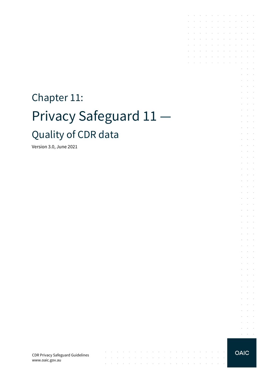# Chapter 11: Privacy Safeguard 11 — Quality of CDR data

Version 3.0, June 2021

CDR Privacy Safeguard Guidelines www.oaic.gov.au

**OAIC** 

 $\sim$ 

 $\bar{z}$ 

 $\sim$   $\sim$ 

 $\bar{z}$ 

 $\sim$  $\mathcal{L}_{\mathcal{A}}$ 

and a second contract of the contract of the contract of the contract of

 $\sim$ 

 $\sim$  $\sim$ 

 $\bar{z}$ 

the contract of the con-

 $\ddot{\phantom{a}}$  $\mathcal{L}_{\mathcal{A}}$  $\epsilon$  $\mathcal{L}^{\text{max}}$  , and  $\mathcal{L}^{\text{max}}$  $\alpha$  ,  $\alpha$  ,  $\alpha$  ,  $\alpha$ 

the contract of the con-

 $\sim 10^{-1}$  .

 $\sim$   $\sim$ 

**Contract Contract** 

and the company

 $\mathcal{L}^{\text{max}}$  and  $\mathcal{L}^{\text{max}}$ 

 $\sim$ 

 $\sim$ 

 $\sim$ 

 $\bar{z}$ 

÷  $\sim$  $\mathcal{L}^{\text{max}}$  $\ddot{\phantom{1}}$  $\overline{\phantom{a}}$  $\overline{\phantom{a}}$  $\mathcal{L}$  $\sim$ 

 $\sim$  $\sim$   $\sim$ 

 $\epsilon$  $\sim$  $\epsilon$  $\bar{z}$  $\ddot{\phantom{a}}$ 

÷  $\sim$  $\sim$  $\overline{\phantom{a}}$ 

 $\overline{\phantom{a}}$  $\bar{z}$  $\sim$  $\sim$  $\ddot{\phantom{1}}$ 

 $\mathcal{L}$  $\sim$ ÷.  $\sim$  $\sim$  $\overline{\phantom{a}}$ 

 $\epsilon$  $\sim$  $\bar{z}$  $\mathcal{L}$  $\sim$  $\mathcal{L}$ 

 $\epsilon$  $\sim$  $\bar{a}$ 

 $\overline{\phantom{a}}$ à.  $\epsilon$  $\sim$  100  $\pm$ 

à.  $\sim$  $\sim$ 

 $\mathcal{L}$  $\mathcal{L}$  $\overline{\phantom{a}}$ 

 $\sim$  $\sim$   $\sim$ 

÷  $\sim$  $\sim$ 

 $\mathcal{L}$  $\sim$  $\overline{\phantom{a}}$ 

÷  $\mathcal{L}_{\mathcal{A}}$  $\sim$ 

 $\sim$  $\sim$  $\sim$ 

 $\mathcal{L}$  $\sim$  $\mathcal{L}$  $\mathcal{L}_{\mathcal{A}}$  $\ddot{\phantom{1}}$  $\sim$  $\overline{\phantom{a}}$  $\sim$  $\sim$  $\overline{\phantom{a}}$ 

 $\overline{a}$ 

÷. ÷  $\sim$  $\sim$  $\mathcal{L}^{\text{max}}$ 

 $\mathcal{L}$  $\overline{\phantom{a}}$  $\mathbb{R}^2$  $\sim$  $\sim$   $\sim$ 

J.  $\overline{\phantom{a}}$  $\sim$  $\sim$  $\sim$  $\sim$  $\sim$  $\sim$  $\sim$  $\sim$ 

 $\epsilon$ 

 $\sim$  $\sim$ 

 $\sim$ 

 $\ddot{\phantom{a}}$  $\sim$  $\sim$ 

 $\mathcal{L}^{\text{max}}$ 

 $\sim$  $\sim$  $\mathcal{L}^{\text{max}}$ 

 $\sim$ 

 $\mathcal{A}^{\mathcal{A}}$  ,  $\mathcal{A}^{\mathcal{A}}$  ,  $\mathcal{A}^{\mathcal{A}}$  ,  $\mathcal{A}^{\mathcal{A}}$  ,  $\mathcal{A}^{\mathcal{A}}$  ,  $\mathcal{A}^{\mathcal{A}}$  ,  $\mathcal{A}^{\mathcal{A}}$ 

**Contract Contract**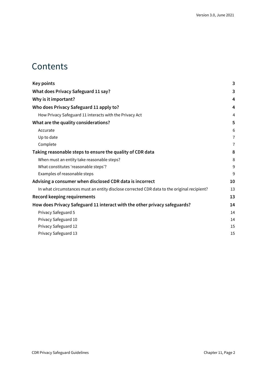### **Contents**

| <b>Key points</b>                                                                           | 3  |
|---------------------------------------------------------------------------------------------|----|
| <b>What does Privacy Safeguard 11 say?</b>                                                  | 3  |
| Why is it important?                                                                        | 4  |
| Who does Privacy Safeguard 11 apply to?                                                     | 4  |
| How Privacy Safeguard 11 interacts with the Privacy Act                                     | 4  |
| What are the quality considerations?                                                        | 5  |
| Accurate                                                                                    | 6  |
| Up to date                                                                                  | 7  |
| Complete                                                                                    | 7  |
| Taking reasonable steps to ensure the quality of CDR data                                   | 8  |
| When must an entity take reasonable steps?                                                  | 8  |
| What constitutes 'reasonable steps'?                                                        | 9  |
| Examples of reasonable steps                                                                | 9  |
| Advising a consumer when disclosed CDR data is incorrect                                    | 10 |
| In what circumstances must an entity disclose corrected CDR data to the original recipient? | 13 |
| <b>Record keeping requirements</b>                                                          | 13 |
| How does Privacy Safeguard 11 interact with the other privacy safeguards?                   | 14 |
| Privacy Safeguard 5                                                                         | 14 |
| Privacy Safeguard 10                                                                        | 14 |
| Privacy Safeguard 12                                                                        | 15 |
| Privacy Safeguard 13                                                                        | 15 |
|                                                                                             |    |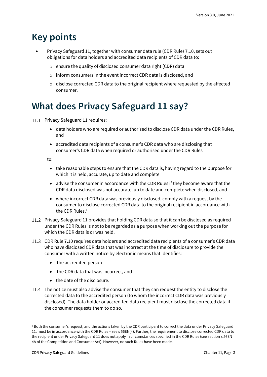# <span id="page-2-0"></span>**Key points**

- Privacy Safeguard 11, together with consumer data rule (CDR Rule) 7.10, sets out obligations for data holders and accredited data recipients of CDR data to:
	- o ensure the quality of disclosed consumer data right (CDR) data
	- o inform consumers in the event incorrect CDR data is disclosed, and
	- $\circ$  disclose corrected CDR data to the original recipient where requested by the affected consumer.

## <span id="page-2-1"></span>**What does Privacy Safeguard 11 say?**

- 11.1 Privacy Safeguard 11 requires:
	- data holders who are required or authorised to disclose CDR data under the CDR Rules, and
	- accredited data recipients of a consumer's CDR data who are disclosing that consumer's CDR data when required or authorised under the CDR Rules

to:

- take reasonable steps to ensure that the CDR data is, having regard to the purpose for which it is held, accurate, up to date and complete
- advise the consumer in accordance with the CDR Rules if they become aware that the CDR data disclosed was not accurate, up to date and complete when disclosed, and
- where incorrect CDR data was previously disclosed, comply with a request by the consumer to disclose corrected CDR data to the original recipient in accordance with the CDR Rules. 1
- Privacy Safeguard 11 provides that holding CDR data so that it can be disclosed as required under the CDR Rules is not to be regarded as a purpose when working out the purpose for which the CDR data is or was held.
- CDR Rule 7.10 requires data holders and accredited data recipients of a consumer's CDR data who have disclosed CDR data that was incorrect at the time of disclosure to provide the consumer with a written notice by electronic means that identifies:
	- the accredited person
	- the CDR data that was incorrect, and
	- the date of the disclosure.
- 11.4 The notice must also advise the consumer that they can request the entity to disclose the corrected data to the accredited person (to whom the incorrect CDR data was previously disclosed). The data holder or accredited data recipient must disclose the corrected data if the consumer requests them to do so.

 $1$  Both the consumer's request, and the actions taken by the CDR participant to correct the data under Privacy Safeguard 11, must be in accordance with the CDR Rules – see s 56EN(4). Further, the requirement to disclose corrected CDR data to the recipient under Privacy Safeguard 11 does not apply in circumstances specified in the CDR Rules (see section s 56EN 4A of the Competition and Consumer Act). However, no such Rules have been made.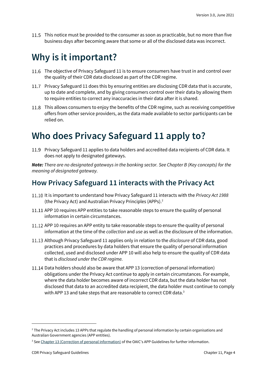This notice must be provided to the consumer as soon as practicable, but no more than five business days after becoming aware that some or all of the disclosed data was incorrect.

### <span id="page-3-0"></span>**Why is it important?**

- 11.6 The objective of Privacy Safeguard 11 is to ensure consumers have trust in and control over the quality of their CDR data disclosed as part of the CDR regime.
- Privacy Safeguard 11 does this by ensuring entities are disclosing CDR data that is accurate, up to date and complete, and by giving consumers control over their data by allowing them to require entities to correct any inaccuracies in their data after it is shared.
- 11.8 This allows consumers to enjoy the benefits of the CDR regime, such as receiving competitive offers from other service providers, as the data made available to sector participants can be relied on.

### <span id="page-3-1"></span>**Who does Privacy Safeguard 11 apply to?**

Privacy Safeguard 11 applies to data holders and accredited data recipients of CDR data. It does not apply to designated gateways.

*Note: There are no designated gateways in the banking sector. See Chapter B (Key concepts) for the meaning of designated gateway.*

### <span id="page-3-2"></span>**How Privacy Safeguard 11 interacts with the Privacy Act**

- 11.10 It is important to understand how Privacy Safeguard 11 interacts with the *Privacy Act 1988* (the Privacy Act) and Australian Privacy Principles (APPs).<sup>2</sup>
- 11.11 APP 10 requires APP entities to take reasonable steps to ensure the quality of personal information in certain circumstances.
- 11.12 APP 10 requires an APP entity to take reasonable steps to ensure the quality of personal information at the time of the *collection* and *use* as well as the disclosure of the information.
- Although Privacy Safeguard 11 applies only in relation to the *disclosure* of CDR data, good practices and procedures by data holders that ensure the quality of personal information collected, used and disclosed under APP 10 will also help to ensure the quality of CDR data that is *disclosed under the CDR regime.*
- 11.14 Data holders should also be aware that APP 13 (correction of personal information) obligations under the Privacy Act continue to apply in certain circumstances. For example, where the data holder becomes aware of incorrect CDR data, but the data holder has not disclosed that data to an accredited data recipient, the data holder must continue to comply with APP 13 and take steps that are reasonable to correct CDR data.<sup>3</sup>

<sup>&</sup>lt;sup>2</sup> The Privacy Act includes 13 APPs that regulate the handling of personal information by certain organisations and Australian Government agencies (APP entities).

<sup>&</sup>lt;sup>3</sup> Se[e Chapter 13 \(Correction of personal information\)](https://www.oaic.gov.au/privacy/australian-privacy-principles-guidelines/chapter-13-app-13-correction-of-personal-information/) of the OAIC's APP Guidelines for further information.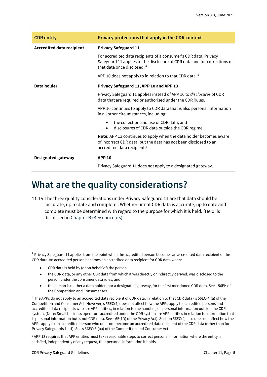| <b>CDR</b> entity                | Privacy protections that apply in the CDR context                                                                                                                                       |
|----------------------------------|-----------------------------------------------------------------------------------------------------------------------------------------------------------------------------------------|
| <b>Accredited data recipient</b> | <b>Privacy Safeguard 11</b>                                                                                                                                                             |
|                                  | For accredited data recipients of a consumer's CDR data, Privacy<br>Safeguard 11 applies to the disclosure of CDR data and for corrections of<br>that data once disclosed. <sup>4</sup> |
|                                  | APP 10 does not apply to in relation to that CDR data. <sup>5</sup>                                                                                                                     |
| Data holder                      | Privacy Safeguard 11, APP 10 and APP 13                                                                                                                                                 |
|                                  | Privacy Safeguard 11 applies instead of APP 10 to disclosures of CDR<br>data that are required or authorised under the CDR Rules.                                                       |
|                                  | APP 10 continues to apply to CDR data that is also personal information<br>in all other circumstances, including:                                                                       |
|                                  | the collection and use of CDR data, and<br>$\bullet$<br>disclosures of CDR data outside the CDR regime.<br>$\bullet$                                                                    |
|                                  | Note: APP 13 continues to apply when the data holder becomes aware<br>of incorrect CDR data, but the data has not been disclosed to an<br>accredited data recipient. <sup>6</sup>       |
| <b>Designated gateway</b>        | <b>APP 10</b>                                                                                                                                                                           |
|                                  | Privacy Safeguard 11 does not apply to a designated gateway.                                                                                                                            |

### <span id="page-4-0"></span>**What are the quality considerations?**

11.15 The three quality considerations under Privacy Safeguard 11 are that data should be 'accurate, up to date and complete'. Whether or not CDR data is accurate, up to date and complete must be determined with regard to the purpose for which it is held. 'Held' is discussed i[n Chapter B \(Key concepts\).](https://www.oaic.gov.au/consumer-data-right/cdr-privacy-safeguard-guidelines/chapter-b-key-concepts)

- CDR data is held by (or on behalf of) the person
- the CDR data, or any other CDR data from which it was directly or indirectly derived, was disclosed to the person under the consumer data rules, and
- the person is neither a data holder, nor a designated gateway, for the first mentioned CDR data. See s 56EK of the Competition and Consumer Act.

<sup>&</sup>lt;sup>4</sup> Privacy Safeguard 11 applies from the point when the accredited person becomes an accredited data recipient of the CDR data.An accredited person becomes an accredited data recipient for CDR data when:

<sup>&</sup>lt;sup>5</sup> The APPs do not apply to an accredited data recipient of CDR data, in relation to that CDR data - s 56EC(4)(a) of the Competition and Consumer Act. However, s 56EC(4) does not affect how the APPs apply to accredited persons and accredited data recipients who are APP entities, in relation to the handling of personal information outside the CDR system. (Note: Small business operators accredited under the CDR system are APP entities in relation to information that is personal information but is not CDR data. See s 6E(1D) of the Privacy Act). Section 56EC(4) also does not affect how the APPs apply to an accredited person who does not become an accredited data recipient of the CDR data (other than for Privacy Safeguards 1 – 4). See s 56EC(5)(aa) of the Competition and Consumer Act.

<sup>6</sup> APP 13 requires that APP entities must take reasonable steps to correct personal information where the entity is satisfied, independently of any request, that personal information it holds.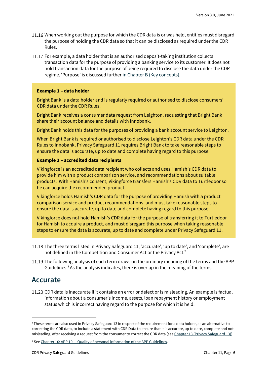- 11.16 When working out the purpose for which the CDR data is or was held, entities must disregard the purpose of holding the CDR data so that it can be disclosed as required under the CDR Rules.
- 11.17 For example, a data holder that is an authorised deposit-taking institution collects transaction data for the purpose of providing a banking service to its customer. It does not hold transaction data for the purpose of being required to disclose the data under the CDR regime. 'Purpose' is discussed further [in Chapter B \(Key concepts\).](https://www.oaic.gov.au/consumer-data-right/cdr-privacy-safeguard-guidelines/chapter-b-key-concepts)

#### **Example 1 – data holder**

Bright Bank is a data holder and is regularly required or authorised to disclose consumers' CDR data under the CDR Rules.

Bright Bank receives a consumer data request from Leighton, requesting that Bright Bank share their account balance and details with Innobank.

Bright Bank holds this data for the purposes of providing a bank account service to Leighton.

When Bright Bank is required or authorised to disclose Leighton's CDR data under the CDR Rules to Innobank, Privacy Safeguard 11 requires Bright Bank to take reasonable steps to ensure the data is accurate, up to date and complete having regard to this purpose.

#### **Example 2 – accredited data recipients**

Vikingforce is an accredited data recipient who collects and uses Hamish's CDR data to provide him with a product comparison service, and recommendations about suitable products. With Hamish's consent, Vikingforce transfers Hamish's CDR data to Turtledoor so he can acquire the recommended product.

Vikingforce holds Hamish's CDR data for the purpose of providing Hamish with a product comparison service and product recommendations, and must take reasonable steps to ensure the data is accurate, up to date and complete having regard to this purpose.

Vikingforce does not hold Hamish's CDR data for the purpose of transferring it to Turtledoor for Hamish to acquire a product, and must disregard this purpose when taking reasonable steps to ensure the data is accurate, up to date and complete under Privacy Safeguard 11.

- 11.18 The three terms listed in Privacy Safeguard 11, 'accurate', 'up to date', and 'complete', are not defined in the Competition and Consumer Act or the Privacy Act.<sup>7</sup>
- 11.19 The following analysis of each term draws on the ordinary meaning of the terms and the APP Guidelines. $8$  As the analysis indicates, there is overlap in the meaning of the terms.

#### <span id="page-5-0"></span>**Accurate**

CDR data is inaccurate if it contains an error or defect or is misleading. An example is factual information about a consumer's income, assets, loan repayment history or employment status which is incorrect having regard to the purpose for which it is held.

<sup>7</sup> These terms are also used in Privacy Safeguard 13 in respect of the requirement for a data holder, as an alternative to correcting the CDR data, to include a statement with CDR Data to ensure that it is accurate, up to date, complete and not misleading, after receiving a request from the consumer to correct the CDR data (see [Chapter 13 \(Privacy Safeguard 13\)\)](https://www.oaic.gov.au/consumer-data-right/cdr-privacy-safeguard-guidelines/chapter-13-privacy-safeguard-13-correction-of-cdr-data).

<sup>&</sup>lt;sup>8</sup> See Chapter 10: APP 10 - [Quality of personal information of the APP Guidelines.](https://www.oaic.gov.au/privacy/australian-privacy-principles-guidelines/chapter-10-app-10-quality-of-personal-information/)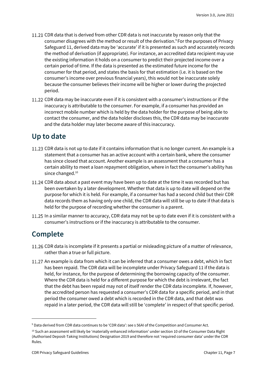- 11.21 CDR data that is derived from other CDR data is not inaccurate by reason only that the consumer disagrees with the method or result of the derivation.<sup>9</sup> For the purposes of Privacy Safeguard 11, derived data may be 'accurate' if it is presented as such and accurately records the method of derivation (if appropriate). For instance, an accredited data recipient may use the existing information it holds on a consumer to predict their projected income over a certain period of time. If the data is presented as the estimated future income for the consumer for that period, and states the basis for that estimation (i.e. it is based on the consumer's income over previous financial years), this would not be inaccurate solely because the consumer believes their income will be higher or lower during the projected period.
- 11.22 CDR data may be inaccurate even if it is consistent with a consumer's instructions or if the inaccuracy is attributable to the consumer. For example, if a consumer has provided an incorrect mobile number which is held by the data holder for the purpose of being able to contact the consumer, and the data holder discloses this, the CDR data may be inaccurate and the data holder may later become aware of this inaccuracy.

#### <span id="page-6-0"></span>**Up to date**

- 11.23 CDR data is not up to date if it contains information that is no longer current. An example is a statement that a consumer has an active account with a certain bank, where the consumer has since closed that account. Another example is an assessment that a consumer has a certain ability to meet a loan repayment obligation, where in fact the consumer's ability has since changed.<sup>10</sup>
- 11.24 CDR data about a past event may have been up to date at the time it was recorded but has been overtaken by a later development. Whether that data is up to date will depend on the purpose for which it is held. For example, if a consumer has had a second child but their CDR data records them as having only one child, the CDR data will still be up to date if that data is held for the purpose of recording whether the consumer is a parent.
- 11.25 In a similar manner to accuracy, CDR data may not be up to date even if it is consistent with a consumer's instructions or if the inaccuracy is attributable to the consumer.

### <span id="page-6-1"></span>**Complete**

- 11.26 CDR data is incomplete if it presents a partial or misleading picture of a matter of relevance, rather than a true or full picture.
- 11.27 An example is data from which it can be inferred that a consumer owes a debt, which in fact has been repaid. The CDR data will be incomplete under Privacy Safeguard 11 if the data is held, for instance, for the purpose of determining the borrowing capacity of the consumer. Where the CDR data is held for a different purpose for which the debt is irrelevant, the fact that the debt has been repaid may not of itself render the CDR data incomplete. If, however, the accredited person has requested a consumer's CDR data for a specific period, and in that period the consumer owed a debt which is recorded in the CDR data, and that debt was repaid in a later period, the CDR data will still be 'complete' in respect of that specific period.

<sup>9</sup> Data derived from CDR data continues to be 'CDR data': see s 56AI of the Competition and Consumer Act.

<sup>&</sup>lt;sup>10</sup> Such an assessment will likely be 'materially enhanced information' under section 10 of the Consumer Data Right (Authorised Deposit-Taking Institutions) Designation 2019 and therefore not 'required consumer data' under the CDR Rules.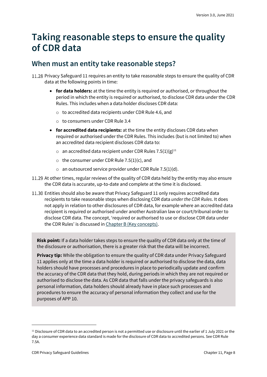# <span id="page-7-0"></span>**Taking reasonable steps to ensure the quality of CDR data**

### <span id="page-7-1"></span>**When must an entity take reasonable steps?**

11.28 Privacy Safeguard 11 requires an entity to take reasonable steps to ensure the quality of CDR data at the following points in time:

- **for data holders:** at the time the entity is required or authorised, or throughout the period in which the entity is required or authorised, to disclose CDR data under the CDR Rules. This includes when a data holder discloses CDR data:
	- o to accredited data recipients under CDR Rule 4.6, and
	- o to consumers under CDR Rule 3.4
- **for accredited data recipients:** at the time the entity discloses CDR data when required or authorised under the CDR Rules. This includes (but is not limited to) when an accredited data recipient discloses CDR data to:
	- $\circ$  an accredited data recipient under CDR Rules 7.5(1)(g)<sup>11</sup>
	- o the consumer under CDR Rule 7.5(1)(c), and
	- $\circ$  an outsourced service provider under CDR Rule 7.5(1)(d).
- 11.29 At other times, regular reviews of the quality of CDR data held by the entity may also ensure the CDR data is accurate, up-to-date and complete at the time it is disclosed.
- Entities should also be aware that Privacy Safeguard 11 only requires accredited data recipients to take reasonable steps when disclosing CDR data *under the CDR Rules*. It does not apply in relation to other disclosures of CDR data, for example where an accredited data recipient is required or authorised under another Australian law or court/tribunal order to disclose CDR data. The concept, 'required or authorised to use or disclose CDR data under the CDR Rules' is discussed in [Chapter B \(Key concepts\).](https://www.oaic.gov.au/consumer-data-right/cdr-privacy-safeguard-guidelines/chapter-b-key-concepts)

**Risk point:** If a data holder takes steps to ensure the quality of CDR data only at the time of the disclosure or authorisation, there is a greater risk that the data will be incorrect.

**Privacy tip:** While the obligation to ensure the quality of CDR data under Privacy Safeguard 11 applies only at the time a data holder is required or authorised to disclose the data, data holders should have processes and procedures in place to periodically update and confirm the accuracy of the CDR data that they hold, during periods in which they are not required or authorised to disclose the data. As CDR data that falls under the privacy safeguards is also personal information, data holders should already have in place such processes and procedures to ensure the accuracy of personal information they collect and use for the purposes of APP 10.

 $11$  Disclosure of CDR data to an accredited person is not a permitted use or disclosure until the earlier of 1 July 2021 or the day a consumer experience data standard is made for the disclosure of CDR data to accredited persons. See CDR Rule 7.5A.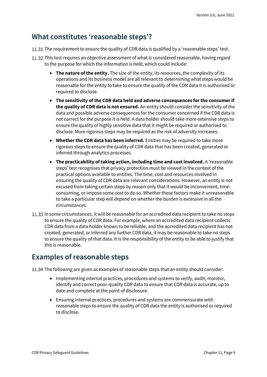### <span id="page-8-0"></span>**What constitutes 'reasonable steps'?**

- 11.31 The requirement to ensure the quality of CDR data is qualified by a 'reasonable steps' test.
- 11.32 This test requires an objective assessment of what is considered reasonable, having regard to the purpose for which the information is held, which could include:
	- **The nature of the entity.** The size of the entity, its resources, the complexity of its operations and its business model are all relevant to determining what steps would be reasonable for the entity to take to ensure the quality of the CDR data it is authorised or required to disclose.
	- **The sensitivity of the CDR data held and adverse consequences for the consumer if the quality of CDR data is not ensured.** An entity should consider the sensitivity of the data and possible adverse consequences for the consumer concerned if the CDR data is not correct for the purpose it is held. A data holder should take more extensive steps to ensure the quality of highly sensitive data that it might be required or authorised to disclose. More rigorous steps may be required as the risk of adversity increases.
	- **Whether the CDR data has been inferred.** Entities may be required to take more rigorous steps to ensure the quality of CDR data that has been created, generated or inferred through analytics processes.
	- **The practicability of taking action, including time and cost involved.** A 'reasonable steps' test recognises that privacy protection must be viewed in the context of the practical options available to entities. The time, cost and resources involved in ensuring the quality of CDR data are relevant considerations. However, an entity is not excused from taking certain steps by reason only that it would be inconvenient, timeconsuming, or impose some cost to do so. Whether these factors make it unreasonable to take a particular step will depend on whether the burden is excessive in all the circumstances.
- 11.33 In some circumstances, it will be reasonable for an accredited data recipient to take no steps to ensure the quality of CDR data. For example, where an accredited data recipient collects CDR data from a data holder known to be reliable, and the accredited data recipient has not created, generated, or inferred any further CDR data, it may be reasonable to take no steps to ensure the quality of that data. It is the responsibility of the entity to be able to justify that this is reasonable.

### <span id="page-8-1"></span>**Examples of reasonable steps**

11.34 The following are given as examples of reasonable steps that an entity should consider:

- Implementing internal practices, procedures and systems to verify, audit, monitor, identify and correct poor-quality CDR data to ensure that CDR data is accurate, up to date and complete at the point of disclosure.
- Ensuring internal practices, procedures and systems are commensurate with reasonable steps to ensure the quality of CDR data the entity is authorised or required to disclose.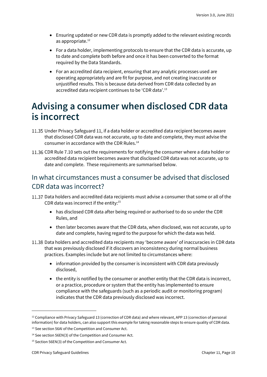- Ensuring updated or new CDR data is promptly added to the relevant existing records as appropriate. 12
- For a data holder, implementing protocols to ensure that the CDR data is accurate, up to date and complete both before and once it has been converted to the format required by the Data Standards.
- For an accredited data recipient, ensuring that any analytic processes used are operating appropriately and are fit for purpose, and not creating inaccurate or unjustified results. This is because data derived from CDR data collected by an accredited data recipient continues to be 'CDR data'.<sup>13</sup>

### <span id="page-9-0"></span>**Advising a consumer when disclosed CDR data is incorrect**

- 11.35 Under Privacy Safeguard 11, if a data holder or accredited data recipient becomes aware that disclosed CDR data was not accurate, up to date and complete, they must advise the consumer in accordance with the CDR Rules.<sup>14</sup>
- 11.36 CDR Rule 7.10 sets out the requirements for notifying the consumer where a data holder or accredited data recipient becomes aware that disclosed CDR data was not accurate, up to date and complete. These requirements are summarised below.

#### In what circumstances must a consumer be advised that disclosed CDR data was incorrect?

- 11.37 Data holders and accredited data recipients must advise a consumer that some or all of the CDR data was incorrect if the entity:<sup>15</sup>
	- has disclosed CDR data after being required or authorised to do so under the CDR Rules, and
	- then later becomes aware that the CDR data, when disclosed, was not accurate, up to date and complete, having regard to the purpose for which the data was held.
- 11.38 Data holders and accredited data recipients may 'become aware' of inaccuracies in CDR data that was previously disclosed if it discovers an inconsistency during normal business practices. Examples include but are not limited to circumstances where:
	- information provided by the consumer is inconsistent with CDR data previously disclosed,
	- the entity is notified by the consumer or another entity that the CDR data is incorrect, or a practice, procedure or system that the entity has implemented to ensure compliance with the safeguards (such as a periodic audit or monitoring program) indicates that the CDR data previously disclosed was incorrect.

<sup>&</sup>lt;sup>12</sup> Compliance with Privacy Safeguard 13 (correction of CDR data) and where relevant, APP 13 (correction of personal information) for data holders, can also support this example for taking reasonable steps to ensure quality of CDR data.

<sup>&</sup>lt;sup>13</sup> See section 56AI of the Competition and Consumer Act.

<sup>&</sup>lt;sup>14</sup> See section 56EN(3) of the Competition and Consumer Act.

<sup>15</sup> Section 56EN(3) of the Competition and Consumer Act.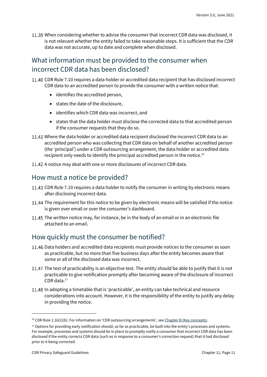11.39 When considering whether to advise the consumer that incorrect CDR data was disclosed, it is not relevant whether the entity failed to take reasonable steps. It is sufficient that the CDR data was not accurate, up to date and complete when disclosed.

### What information must be provided to the consumer when incorrect CDR data has been disclosed?

- 11.40 CDR Rule 7.10 requires a data holder or accredited data recipient that has disclosed incorrect CDR data to an accredited person to provide the consumer with a written notice that:
	- identifies the accredited person,
	- states the date of the disclosure,
	- identifies which CDR data was incorrect, and
	- states that the data holder must disclose the corrected data to that accredited person if the consumer requests that they do so.
- Where the data holder or accredited data recipient disclosed the incorrect CDR data to an accredited person who was collecting that CDR data on behalf of another accredited person (the 'principal') under a CDR outsourcing arrangement, the data holder or accredited data recipient only needs to identify the principal accredited person in the notice.<sup>16</sup>
- 11.42 A notice may deal with one or more disclosures of incorrect CDR data.

#### How must a notice be provided?

- 11.43 CDR Rule 7.10 requires a data holder to notify the consumer in writing by electronic means after disclosing incorrect data.
- 11.44 The requirement for this notice to be given by electronic means will be satisfied if the notice is given over email or over the consumer's dashboard.
- 11.45 The written notice may, for instance, be in the body of an email or in an electronic file attached to an email.

#### How quickly must the consumer be notified?

- 11.46 Data holders and accredited data recipients must provide notices to the consumer as soon as practicable, but no more than five business days after the entity becomes aware that some or all of the disclosed data was incorrect.
- 11.47 The test of practicability is an objective test. The entity should be able to justify that it is not practicable to give notification promptly after becoming aware of the disclosure of incorrect CDR data.<sup>17</sup>
- 11.48 In adopting a timetable that is 'practicable', an entity can take technical and resource considerations into account. However, it is the responsibility of the entity to justify any delay in providing the notice.

<sup>&</sup>lt;sup>16</sup> CDR Rule 1.16(2)(b). For information on 'CDR outsourcing arrangements', see [Chapter B \(Key concepts\).](https://www.oaic.gov.au/consumer-data-right/cdr-privacy-safeguard-guidelines/chapter-b-key-concepts)

 $17$  Options for providing early notification should, so far as practicable, be built into the entity's processes and systems. For example, processes and systems should be in place to promptly notify a consumer that incorrect CDR data has been disclosed if the entity corrects CDR data (such as in response to a consumer's correction request) that it had disclosed prior to it being corrected.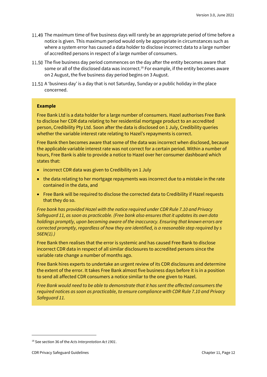- 11.49 The maximum time of five business days will rarely be an appropriate period of time before a notice is given. This maximum period would only be appropriate in circumstances such as where a system error has caused a data holder to disclose incorrect data to a large number of accredited persons in respect of a large number of consumers.
- 11.50 The five business day period commences on the day after the entity becomes aware that some or all of the disclosed data was incorrect.<sup>18</sup> For example, if the entity becomes aware on 2 August, the five business day period begins on 3 August.
- 11.51 A 'business day' is a day that is not Saturday, Sunday or a public holiday in the place concerned.

#### **Example**

Free Bank Ltd is a data holder for a large number of consumers. Hazel authorises Free Bank to disclose her CDR data relating to her residential mortgage product to an accredited person, Credibility Pty Ltd. Soon after the data is disclosed on 1 July, Credibility queries whether the variable interest rate relating to Hazel's repayments is correct.

Free Bank then becomes aware that some of the data was incorrect when disclosed, because the applicable variable interest rate was not correct for a certain period. Within a number of hours, Free Bank is able to provide a notice to Hazel over her consumer dashboard which states that:

- incorrect CDR data was given to Credibility on 1 July
- the data relating to her mortgage repayments was incorrect due to a mistake in the rate contained in the data, and
- Free Bank will be required to disclose the corrected data to Credibility if Hazel requests that they do so.

*Free bank has provided Hazel with the notice required under CDR Rule 7.10 and Privacy Safeguard 11, as soon as practicable. (Free bank also ensures that it updates its own data holdings promptly, upon becoming aware of the inaccuracy. Ensuring that known errors are corrected promptly, regardless of how they are identified, is a reasonable step required by s 56EN(1).)*

Free Bank then realises that the error is systemic and has caused Free Bank to disclose incorrect CDR data in respect of all similar disclosures to accredited persons since the variable rate change a number of months ago.

Free Bank hires experts to undertake an urgent review of its CDR disclosures and determine the extent of the error. It takes Free Bank almost five business days before it is in a position to send all affected CDR consumers a notice similar to the one given to Hazel.

*Free Bank would need to be able to demonstrate that it has sent the affected consumers the required notices as soon as practicable, to ensure compliance with CDR Rule 7.10 and Privacy Safeguard 11.*

<sup>18</sup> See section 36 of the *Acts Interpretation Act 1901*.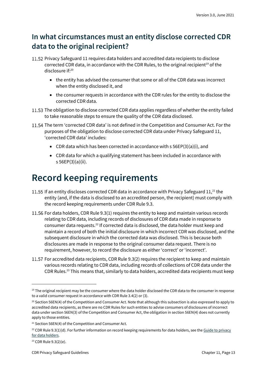### <span id="page-12-0"></span>**In what circumstances must an entity disclose corrected CDR data to the original recipient?**

- 11.52 Privacy Safeguard 11 requires data holders and accredited data recipients to disclose corrected CDR data, in accordance with the CDR Rules, to the original recipient<sup>19</sup> of the disclosure if:<sup>20</sup>
	- the entity has advised the consumer that some or all of the CDR data was incorrect when the entity disclosed it, and
	- the consumer requests in accordance with the CDR rules for the entity to disclose the corrected CDR data.
- 11.53 The obligation to disclose corrected CDR data applies regardless of whether the entity failed to take reasonable steps to ensure the quality of the CDR data disclosed.
- 11.54 The term 'corrected CDR data' is not defined in the Competition and Consumer Act. For the purposes of the obligation to disclose corrected CDR data under Privacy Safeguard 11, 'corrected CDR data' includes:
	- CDR data which has been corrected in accordance with  $s$  56EP(3)(a)(i), and
	- CDR data for which a qualifying statement has been included in accordance with s 56EP(3)(a)(ii).

# <span id="page-12-1"></span>**Record keeping requirements**

- 11.55 If an entity discloses corrected CDR data in accordance with Privacy Safeguard  $11<sup>21</sup>$  the entity (and, if the data is disclosed to an accredited person, the recipient) must comply with the record keeping requirements under CDR Rule 9.3.
- 11.56 For data holders, CDR Rule 9.3(1) requires the entity to keep and maintain various records relating to CDR data, including records of disclosures of CDR data made in response to consumer data requests.<sup>22</sup> If corrected data is disclosed, the data holder must keep and maintain a record of both the initial disclosure in which incorrect CDR was disclosed, and the subsequent disclosure in which the corrected data was disclosed. This is because both disclosures are made in response to the original consumer data request. There is no requirement, however, to record the disclosure as either 'correct' or 'incorrect'.
- For accredited data recipients, CDR Rule 9.3(2) requires the recipient to keep and maintain various records relating to CDR data, including records of collections of CDR data under the CDR Rules.<sup>23</sup> This means that, similarly to data holders, accredited data recipients must keep

<sup>&</sup>lt;sup>19</sup> The original recipient may be the consumer where the data holder disclosed the CDR data to the consumer in response to a valid consumer request in accordance with CDR Rule 3.4(2) or (3).

<sup>&</sup>lt;sup>20</sup> Section 56EN(4) of the Competition and Consumer Act. Note that although this subsection is also expressed to apply to accredited data recipients, as there are no CDR Rules for such entities to advise consumers of disclosures of incorrect data under section 56EN(3) of the Competition and Consumer Act, the obligation in section 56EN(4) does not currently apply to those entities.

<sup>&</sup>lt;sup>21</sup> Section 56EN(4) of the Competition and Consumer Act.

<sup>&</sup>lt;sup>22</sup> CDR Rule 9.3(1)(d). For further information on record keeping requirements for data holders, see the Guide to privacy [for data holders.](https://www.oaic.gov.au/consumer-data-right/guidance-and-advice/guide-to-privacy-for-data-holders/#providing-access-to-copies-of-records)

<sup>23</sup> CDR Rule 9.3(2)(e).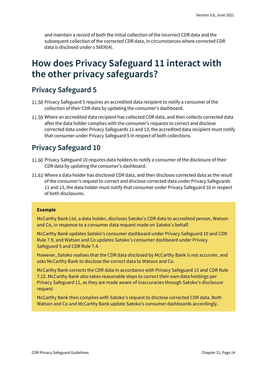and maintain a record of both the initial collection of the incorrect CDR data and the subsequent collection of the corrected CDR data, in circumstances where corrected CDR data is disclosed under s 56EN(4).

### <span id="page-13-0"></span>**How does Privacy Safeguard 11 interact with the other privacy safeguards?**

### <span id="page-13-1"></span>**Privacy Safeguard 5**

- 11.58 Privacy Safeguard 5 requires an accredited data recipient to notify a consumer of the collection of their CDR data by updating the consumer's dashboard.
- 11.59 Where an accredited data recipient has collected CDR data, and then collects corrected data after the data holder complies with the consumer's requests to correct and disclose corrected data under Privacy Safeguards 11 and 13, the accredited data recipient must notify that consumer under Privacy Safeguard 5 in respect of both collections.

#### <span id="page-13-2"></span>**Privacy Safeguard 10**

- 11.60 Privacy Safeguard 10 requires data holders to notify a consumer of the disclosure of their CDR data by updating the consumer's dashboard.
- Where a data holder has disclosed CDR data, and then discloses corrected data as the result of the consumer's request to correct and disclose corrected data under Privacy Safeguards 11 and 13, the data holder must notify that consumer under Privacy Safeguard 10 in respect of both disclosures.

#### **Example**

McCarthy Bank Ltd, a data holder, discloses Satoko's CDR data to accredited person, Watson and Co, in response to a consumer data request made on Satoko's behalf.

McCarthy Bank updates Satoko's consumer dashboard under Privacy Safeguard 10 and CDR Rule 7.9, and Watson and Co updates Satoko's consumer dashboard under Privacy Safeguard 5 and CDR Rule 7.4.

However, Satoko realises that the CDR data disclosed by McCarthy Bank is not accurate, and asks McCarthy Bank to disclose the correct data to Watson and Co.

McCarthy Bank corrects the CDR data in accordance with Privacy Safeguard 13 and CDR Rule 7.15. McCarthy Bank also takes reasonable steps to correct their own data holdings per Privacy Safeguard 11, as they are made aware of inaccuracies through Satoko's disclosure request.

McCarthy Bank then complies with Satoko's request to disclose corrected CDR data. Both Watson and Co and McCarthy Bank update Satoko's consumer dashboards accordingly.